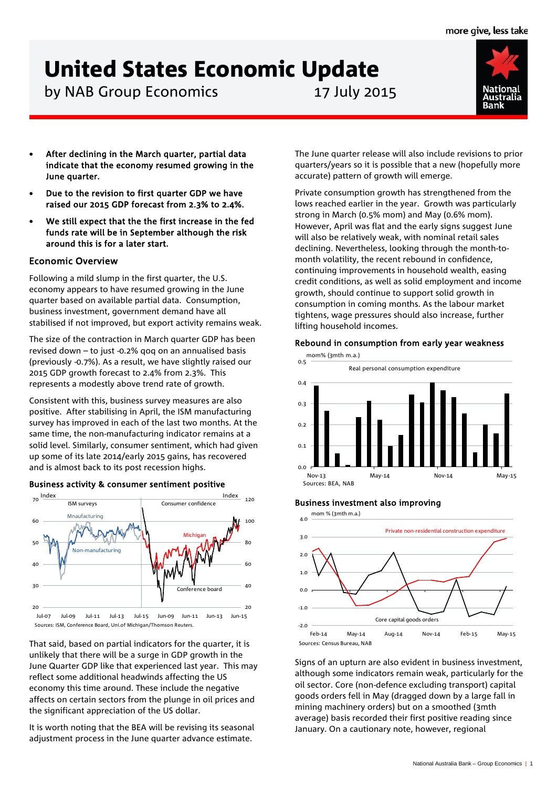# United States Economic Update

by NAB Group Economics 17 July 2015



- After declining in the March quarter, partial data indicate that the economy resumed growing in the June quarter.
- Due to the revision to first quarter GDP we have raised our 2015 GDP forecast from 2.3% to 2.4%.
- We still expect that the the first increase in the fed funds rate will be in September although the risk around this is for a later start.

# Economic Overview

Following a mild slump in the first quarter, the U.S. economy appears to have resumed growing in the June quarter based on available partial data. Consumption, business investment, government demand have all stabilised if not improved, but export activity remains weak.

The size of the contraction in March quarter GDP has been revised down – to just -0.2% qoq on an annualised basis (previously -0.7%). As a result, we have slightly raised our 2015 GDP growth forecast to 2.4% from 2.3%. This represents a modestly above trend rate of growth.

Consistent with this, business survey measures are also positive. After stabilising in April, the ISM manufacturing survey has improved in each of the last two months. At the same time, the non-manufacturing indicator remains at a solid level. Similarly, consumer sentiment, which had given up some of its late 2014/early 2015 gains, has recovered and is almost back to its post recession highs.





That said, based on partial indicators for the quarter, it is unlikely that there will be a surge in GDP growth in the June Quarter GDP like that experienced last year. This may reflect some additional headwinds affecting the US economy this time around. These include the negative affects on certain sectors from the plunge in oil prices and the significant appreciation of the US dollar.

It is worth noting that the BEA will be revising its seasonal adjustment process in the June quarter advance estimate.

The June quarter release will also include revisions to prior quarters/years so it is possible that a new (hopefully more accurate) pattern of growth will emerge.

Private consumption growth has strengthened from the lows reached earlier in the year. Growth was particularly strong in March (0.5% mom) and May (0.6% mom). However, April was flat and the early signs suggest June will also be relatively weak, with nominal retail sales declining. Nevertheless, looking through the month-tomonth volatility, the recent rebound in confidence, continuing improvements in household wealth, easing credit conditions, as well as solid employment and income growth, should continue to support solid growth in consumption in coming months. As the labour market tightens, wage pressures should also increase, further lifting household incomes.

#### Rebound in consumption from early year weakness



## Business investment also improving



Signs of an upturn are also evident in business investment, although some indicators remain weak, particularly for the oil sector. Core (non-defence excluding transport) capital goods orders fell in May (dragged down by a large fall in mining machinery orders) but on a smoothed (3mth average) basis recorded their first positive reading since January. On a cautionary note, however, regional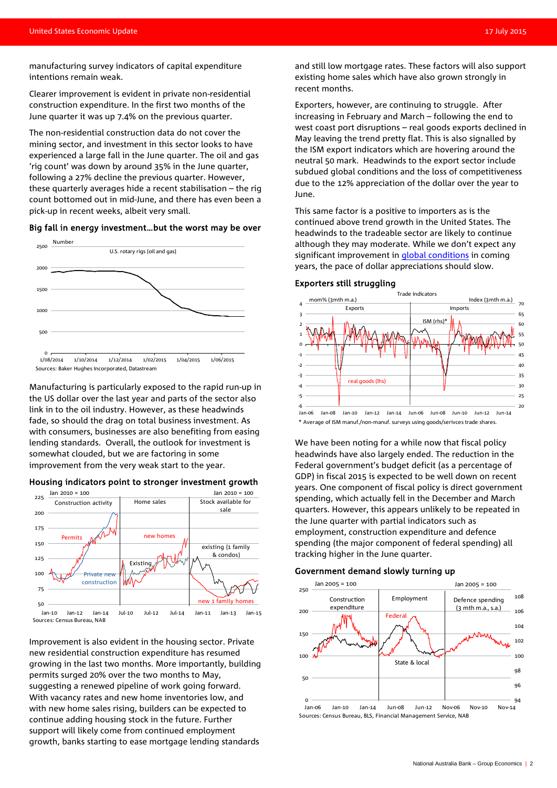manufacturing survey indicators of capital expenditure intentions remain weak.

Clearer improvement is evident in private non-residential construction expenditure. In the first two months of the June quarter it was up 7.4% on the previous quarter.

The non-residential construction data do not cover the mining sector, and investment in this sector looks to have experienced a large fall in the June quarter. The oil and gas 'rig count' was down by around 35% in the June quarter, following a 27% decline the previous quarter. However, these quarterly averages hide a recent stabilisation – the rig count bottomed out in mid-June, and there has even been a pick-up in recent weeks, albeit very small.





Manufacturing is particularly exposed to the rapid run-up in the US dollar over the last year and parts of the sector also link in to the oil industry. However, as these headwinds fade, so should the drag on total business investment. As with consumers, businesses are also benefiting from easing lending standards. Overall, the outlook for investment is somewhat clouded, but we are factoring in some improvement from the very weak start to the year.

#### Housing indicators point to stronger investment growth



Improvement is also evident in the housing sector. Private new residential construction expenditure has resumed growing in the last two months. More importantly, building permits surged 20% over the two months to May, suggesting a renewed pipeline of work going forward. With vacancy rates and new home inventories low, and with new home sales rising, builders can be expected to continue adding housing stock in the future. Further support will likely come from continued employment growth, banks starting to ease mortgage lending standards

and still low mortgage rates. These factors will also support existing home sales which have also grown strongly in recent months.

Exporters, however, are continuing to struggle. After increasing in February and March – following the end to west coast port disruptions – real goods exports declined in May leaving the trend pretty flat. This is also signalled by the ISM export indicators which are hovering around the neutral 50 mark. Headwinds to the export sector include subdued global conditions and the loss of competitiveness due to the 12% appreciation of the dollar over the year to June.

This same factor is a positive to importers as is the continued above trend growth in the United States. The headwinds to the tradeable sector are likely to continue although they may moderate. While we don't expect any significant improvement in [global conditions](http://business.nab.com.au/global-australian-forecasts-july-2015-12038/) in coming years, the pace of dollar appreciations should slow.

#### Exporters still struggling



\* Average of ISM manuf./non-manuf. surveys using goods/serivces trade shares.

We have been noting for a while now that fiscal policy headwinds have also largely ended. The reduction in the Federal government's budget deficit (as a percentage of GDP) in fiscal 2015 is expected to be well down on recent years. One component of fiscal policy is direct government spending, which actually fell in the December and March quarters. However, this appears unlikely to be repeated in the June quarter with partial indicators such as employment, construction expenditure and defence spending (the major component of federal spending) all tracking higher in the June quarter.

#### Government demand slowly turning up

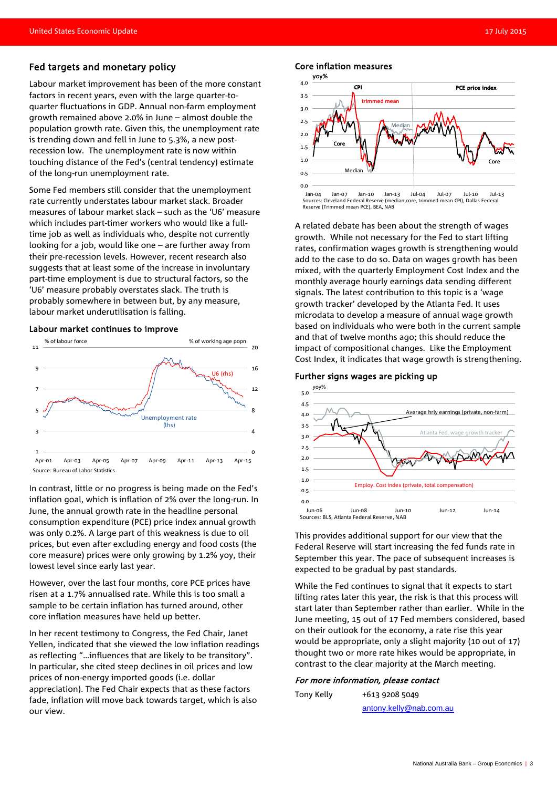#### Fed targets and monetary policy

Labour market improvement has been of the more constant factors in recent years, even with the large quarter-toquarter fluctuations in GDP. Annual non-farm employment growth remained above 2.0% in June – almost double the population growth rate. Given this, the unemployment rate is trending down and fell in June to 5.3%, a new postrecession low. The unemployment rate is now within touching distance of the Fed's (central tendency) estimate of the long-run unemployment rate.

Some Fed members still consider that the unemployment rate currently understates labour market slack. Broader measures of labour market slack – such as the 'U6' measure which includes part-timer workers who would like a fulltime job as well as individuals who, despite not currently looking for a job, would like one – are further away from their pre-recession levels. However, recent research also suggests that at least some of the increase in involuntary part-time employment is due to structural factors, so the 'U6' measure probably overstates slack. The truth is probably somewhere in between but, by any measure, labour market underutilisation is falling.

#### Labour market continues to improve



In contrast, little or no progress is being made on the Fed's inflation goal, which is inflation of 2% over the long-run. In June, the annual growth rate in the headline personal consumption expenditure (PCE) price index annual growth was only 0.2%. A large part of this weakness is due to oil prices, but even after excluding energy and food costs (the core measure) prices were only growing by 1.2% yoy, their lowest level since early last year.

However, over the last four months, core PCE prices have risen at a 1.7% annualised rate. While this is too small a sample to be certain inflation has turned around, other core inflation measures have held up better.

In her recent testimony to Congress, the Fed Chair, Janet Yellen, indicated that she viewed the low inflation readings as reflecting "…influences that are likely to be transitory". In particular, she cited steep declines in oil prices and low prices of non-energy imported goods (i.e. dollar appreciation). The Fed Chair expects that as these factors fade, inflation will move back towards target, which is also our view.

### Core inflation measures



Reserve (Trimmed mean PCE), BEA, NAB

A related debate has been about the strength of wages growth. While not necessary for the Fed to start lifting rates, confirmation wages growth is strengthening would add to the case to do so. Data on wages growth has been mixed, with the quarterly Employment Cost Index and the monthly average hourly earnings data sending different signals. The latest contribution to this topic is a 'wage growth tracker' developed by the Atlanta Fed. It uses microdata to develop a measure of annual wage growth based on individuals who were both in the current sample and that of twelve months ago; this should reduce the impact of compositional changes. Like the Employment Cost Index, it indicates that wage growth is strengthening.

#### Further signs wages are picking up



This provides additional support for our view that the Federal Reserve will start increasing the fed funds rate in September this year. The pace of subsequent increases is expected to be gradual by past standards.

While the Fed continues to signal that it expects to start lifting rates later this year, the risk is that this process will start later than September rather than earlier. While in the June meeting, 15 out of 17 Fed members considered, based on their outlook for the economy, a rate rise this year would be appropriate, only a slight majority (10 out of 17) thought two or more rate hikes would be appropriate, in contrast to the clear majority at the March meeting.

#### For more information, please contact

| Tony Kelly | +613 9208 5049          |
|------------|-------------------------|
|            | antony.kelly@nab.com.au |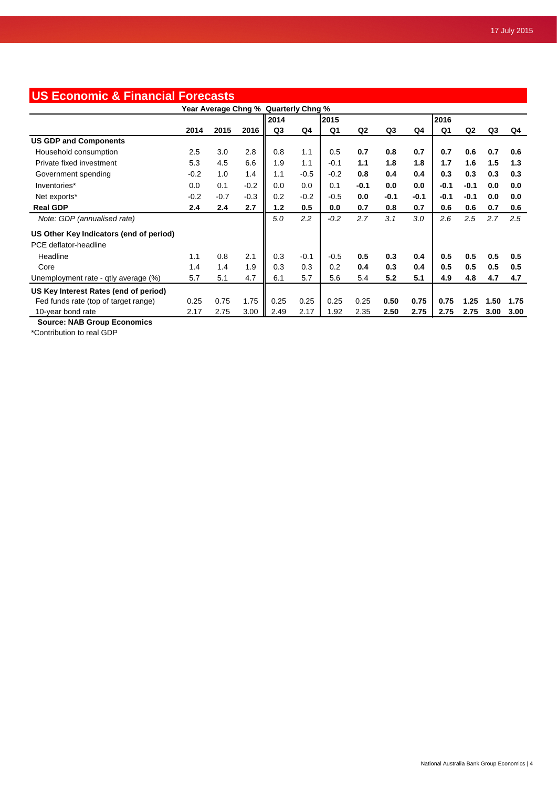| <b>US Economic &amp; Financial Forecasts</b> |        |        |        |      |        |                |                |        |        |                |                |      |               |  |
|----------------------------------------------|--------|--------|--------|------|--------|----------------|----------------|--------|--------|----------------|----------------|------|---------------|--|
| Year Average Chng % Quarterly Chng %         |        |        |        |      |        |                |                |        |        |                |                |      |               |  |
|                                              |        |        |        | 2014 |        | 2015           |                |        |        | 2016           |                |      |               |  |
|                                              | 2014   | 2015   | 2016   | Q3   | Q4     | Q <sub>1</sub> | Q <sub>2</sub> | Q3     | Q4     | Q <sub>1</sub> | Q <sub>2</sub> | Q3   | Q4            |  |
| <b>US GDP and Components</b>                 |        |        |        |      |        |                |                |        |        |                |                |      |               |  |
| Household consumption                        | 2.5    | 3.0    | 2.8    | 0.8  | 1.1    | 0.5            | 0.7            | 0.8    | 0.7    | 0.7            | 0.6            | 0.7  | 0.6           |  |
| Private fixed investment                     | 5.3    | 4.5    | 6.6    | 1.9  | 1.1    | $-0.1$         | 1.1            | 1.8    | 1.8    | 1.7            | 1.6            | 1.5  | 1.3           |  |
| Government spending                          | $-0.2$ | 1.0    | 1.4    | 1.1  | $-0.5$ | $-0.2$         | 0.8            | 0.4    | 0.4    | 0.3            | 0.3            | 0.3  | 0.3           |  |
| Inventories*                                 | 0.0    | 0.1    | $-0.2$ | 0.0  | 0.0    | 0.1            | $-0.1$         | 0.0    | 0.0    | $-0.1$         | $-0.1$         | 0.0  | 0.0           |  |
| Net exports*                                 | $-0.2$ | $-0.7$ | $-0.3$ | 0.2  | $-0.2$ | $-0.5$         | 0.0            | $-0.1$ | $-0.1$ | $-0.1$         | $-0.1$         | 0.0  | 0.0           |  |
| <b>Real GDP</b>                              | 2.4    | 2.4    | 2.7    | 1.2  | 0.5    | 0.0            | 0.7            | 0.8    | 0.7    | 0.6            | 0.6            | 0.7  | 0.6           |  |
| Note: GDP (annualised rate)                  |        |        |        | 5.0  | 2.2    | $-0.2$         | 2.7            | 3.1    | 3.0    | 2.6            | 2.5            | 2.7  | $2.5^{\circ}$ |  |
| US Other Key Indicators (end of period)      |        |        |        |      |        |                |                |        |        |                |                |      |               |  |
| PCE deflator-headline                        |        |        |        |      |        |                |                |        |        |                |                |      |               |  |
| Headline                                     | 1.1    | 0.8    | 2.1    | 0.3  | $-0.1$ | $-0.5$         | 0.5            | 0.3    | 0.4    | 0.5            | 0.5            | 0.5  | 0.5           |  |
| Core                                         | 1.4    | 1.4    | 1.9    | 0.3  | 0.3    | 0.2            | 0.4            | 0.3    | 0.4    | 0.5            | 0.5            | 0.5  | 0.5           |  |
| Unemployment rate - qtly average (%)         | 5.7    | 5.1    | 4.7    | 6.1  | 5.7    | 5.6            | 5.4            | 5.2    | 5.1    | 4.9            | 4.8            | 4.7  | 4.7           |  |
| US Key Interest Rates (end of period)        |        |        |        |      |        |                |                |        |        |                |                |      |               |  |
| Fed funds rate (top of target range)         | 0.25   | 0.75   | 1.75   | 0.25 | 0.25   | 0.25           | 0.25           | 0.50   | 0.75   | 0.75           | 1.25           | 1.50 | 1.75          |  |
| 10-year bond rate                            | 2.17   | 2.75   | 3.00   | 2.49 | 2.17   | 1.92           | 2.35           | 2.50   | 2.75   | 2.75           | 2.75           | 3.00 | 3.00          |  |

 **Source: NAB Group Economics**

\*Contribution to real GDP